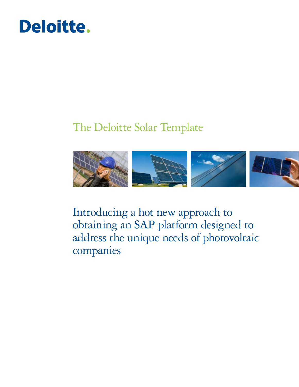

# The Deloitte Solar Template



Introducing a hot new approach to obtaining an SAP platform designed to address the unique needs of photovoltaic companies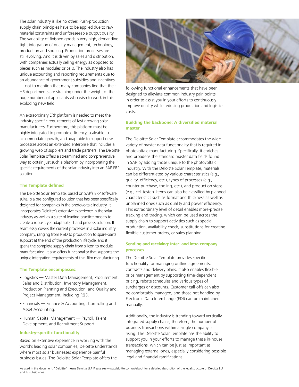The solar industry is like no other. Push-production supply chain principles have to be applied due to raw material constraints and unforeseeable output quality. The variability of finished goods is very high, demanding tight integration of quality management, technology, production and sourcing. Production processes are still evolving. And it is driven by sales and distribution, with companies actually selling energy as opposed to pieces such as modules or cells. The industry also has unique accounting and reporting requirements due to an abundance of government subsidies and incentives — not to mention that many companies find that their HR departments are straining under the weight of the huge numbers of applicants who wish to work in this exploding new field.

An extraordinary ERP platform is needed to meet the industry-specific requirements of fast-growing solar manufacturers. Furthermore, this platform must be highly integrated to promote efficiency, scaleable to accommodate growth, and adaptable to support new processes across an extended enterprise that includes a growing web of suppliers and trade partners. The Deloitte Solar Template offers a streamlined and comprehensive way to obtain just such a platform by incorporating the specific requirements of the solar industry into an SAP ERP solution.

## **The Template defined**

The Deloitte Solar Template, based on SAP's ERP software suite, is a pre-configured solution that has been specifically designed for companies in the photovoltaic industry. It incorporates Deloitte's extensive experience in the solar industry as well as a suite of leading practice models to create a robust, yet adaptable, IT and process solution. It seamlessly covers the current processes in a solar industry company, ranging from R&D to production to spare-parts support at the end of the production lifecycle, and it spans the complete supply chain from silicon to module manufacturing. It also offers functionality that supports the unique integration requirements of thin-film manufacturing.

#### **The Template encompasses:**

- Logistics Master Data Management, Procurement, Sales and Distribution, Inventory Management, Production Planning and Execution, and Quality and Project Management, including R&D.
- Financials Finance & Accounting, Controlling and Asset Accounting.
- Human Capital Management Payroll, Talent Development, and Recruitment Support.

### **Industry-specific functionality**

Based on extensive experience in working with the world's leading solar companies, Deloitte understands where most solar businesses experience painful business issues. The Deloitte Solar Template offers the



following functional enhancements that have been designed to alleviate common industry pain points in order to assist you in your efforts to continuously improve quality while reducing production and logistics costs.

## **Building the backbone: A diversified material master**

The Deloitte Solar Template accommodates the wide variety of master data functionality that is required in photovoltaic manufacturing. Specifically, it enriches and broadens the standard master data fields found in SAP by adding those unique to the photovoltaic industry. With the Deloitte Solar Template, materials can be differentiated by various characteristics (e.g., quality, efficiency, etc.), types of processes (e.g., counter-purchase, tooling, etc.), and production steps (e.g., cell tester). Items can also be classified by planned characteristics such as format and thickness as well as unplanned ones such as quality and power efficiency. This extraordinary level of detail enables more-precise tracking and tracing, which can be used across the supply chain to support activities such as special production, availability check, substitutions for creating flexible customer orders, or sales planning.

## **Sending and receiving: Inter- and intra-company processes**

The Deloitte Solar Template provides specific functionality for managing outline agreements, contracts and delivery plans. It also enables flexible price management by supporting time-dependent pricing, rebate schedules and various types of surcharges or discounts. Customer call-offs can also be comfortably managed, and those not handled by Electronic Data Interchange (EDI) can be maintained manually.

Additionally, the industry is trending toward vertically integrated supply chains; therefore, the number of business transactions within a single company is rising. The Deloitte Solar Template has the ability to support you in your efforts to manage these in-house transactions, which can be just as important as managing external ones, especially considering possible legal and financial ramifications.

As used in this document, "Deloitte" means Deloitte LLP. Please see www.deloitte.com/us/about for a detailed description of the legal structure of Deloitte LLP and its subsidiaries.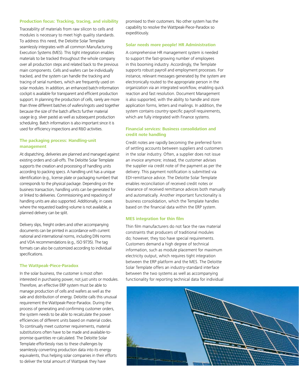#### **Production focus: Tracking, tracing, and visibility**

Traceability of materials from raw silicon to cells and modules is necessary to meet high quality standards. To address this need, the Deloitte Solar Template seamlessly integrates with all common Manufacturing Execution Systems (MES). This tight integration enables materials to be tracked throughout the whole company over all production steps and related back to the previous main components. Cells and wafers can be individually tracked, and the system can handle the tracking and tracing of serial numbers, which are frequently used on solar modules. In addition, an enhanced batch-information cockpit is available for transparent and efficient production support. In planning the production of cells, rarely are more than three different batches of wafers/ingots used together because the size of the batch affects further material usage (e.g. silver paste) as well as subsequent production scheduling. Batch information is also important since it is used for efficiency inspections and R&D activities.

## **The packaging process: Handling-unit management**

At dispatching, deliveries are planned and managed against existing orders and call-offs. The Deloitte Solar Template supports the creation and processing of handling units according to packing specs. A handling unit has a unique identification (e.g., license plate or packaging number) that corresponds to the physical package. Depending on the business transaction, handling units can be generated for or linked to deliveries. Commissioning and repacking of handling units are also supported. Additionally, in cases where the requested loading volume is not available, a planned delivery can be split.

Delivery slips, freight orders and other accompanying documents can be printed in accordance with current national and international norms, including DIN norms and VDA recommendations (e.g., ISO 9735). The tag formats can also be customized according to individual specifications.

## **The Wattpeak-Piece-Paradox**

In the solar business, the customer is most often interested in purchasing power, not just units or modules. Therefore, an effective ERP system must be able to manage production of cells and wafers as well as the sale and distribution of energy. Deloitte calls this unusual requirement the Wattpeak-Piece-Paradox. During the process of generating and confirming customer orders, the system needs to be able to recalculate the power efficiencies of different units based on material codes. To continually meet customer requirements, material substitutions often have to be made and available-topromise quantities re-calculated. The Deloitte Solar Template effortlessly rises to these challenges by seamlessly converting production data into its energy equivalents, thus helping solar companies in their efforts to deliver the total amount of Wattpeak they have

promised to their customers. No other system has the capability to resolve the Wattpeak-Piece-Paradox so expeditiously.

#### **Solar needs more people! HR Administration**

A comprehensive HR management system is needed to support the fast-growing number of employees in this booming industry. Accordingly, the Template supports robust payroll and employment processes. For instance, relevant messages generated by the system are electronically routed to the appropriate person in the organization via an integrated workflow, enabling quick reaction and fast resolution. Document Management is also supported, with the ability to handle and store application forms, letters and mailings. In addition, the system contains country-specific payroll requirements, which are fully integrated with Finance systems.

## **Financial services: Business consolidation and credit note handling**

Credit notes are rapidly becoming the preferred form of settling accounts between suppliers and customers in the solar industry. Often, a supplier does not issue an invoice anymore; instead, the customer advises the supplier via credit note of the payment as per the delivery. This payment notification is submitted via EDI-remittance advice. The Deloitte Solar Template enables reconciliation of received credit notes or clearance of received remittance advices both manually and automatically. Another important functionality is business consolidation, which the Template handles based on the financial data within the ERP system.

### **MES integration for thin film**

Thin film manufacturers do not face the raw material constraints that producers of traditional modules do; however, they too have special requirements. Customers demand a high degree of technical information, such as module placement for maximum electricity output, which requires tight integration between the ERP platform and the MES. The Deloitte Solar Template offers an industry-standard interface between the two systems as well as accompanying functionality for reporting technical data for individual